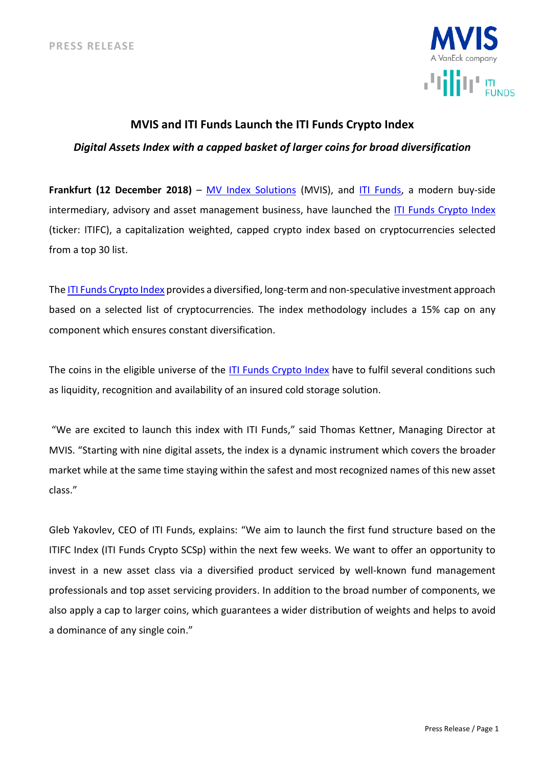

# **MVIS and ITI Funds Launch the ITI Funds Crypto Index**

*Digital Assets Index with a capped basket of larger coins for broad diversification*

**Frankfurt (12 December 2018)** – [MV Index Solutions](http://www.mvis-indices.com/) (MVIS), and [ITI Funds,](http://www.iti-funds.com/) a modern buy-side intermediary, advisory and asset management business, have launched the ITI Funds [Crypto Index](https://www.mvis-indices.com/indices/digital-assets/iti-funds-crypto) (ticker: ITIFC), a capitalization weighted, capped crypto index based on cryptocurrencies selected from a top 30 list.

The ITI Funds [Crypto Index](https://www.mvis-indices.com/indices/digital-assets/iti-funds-crypto) provides a diversified, long-term and non-speculative investment approach based on a selected list of cryptocurrencies. The index methodology includes a 15% cap on any component which ensures constant diversification.

The coins in the eligible universe of the ITI Funds [Crypto Index](https://www.mvis-indices.com/indices/digital-assets/iti-funds-crypto) have to fulfil several conditions such as liquidity, recognition and availability of an insured cold storage solution.

"We are excited to launch this index with ITI Funds," said Thomas Kettner, Managing Director at MVIS. "Starting with nine digital assets, the index is a dynamic instrument which covers the broader market while at the same time staying within the safest and most recognized names of this new asset class."

Gleb Yakovlev, CEO of ITI Funds, explains: "We aim to launch the first fund structure based on the ITIFC Index (ITI Funds Crypto SCSp) within the next few weeks. We want to offer an opportunity to invest in a new asset class via a diversified product serviced by well-known fund management professionals and top asset servicing providers. In addition to the broad number of components, we also apply a cap to larger coins, which guarantees a wider distribution of weights and helps to avoid a dominance of any single coin."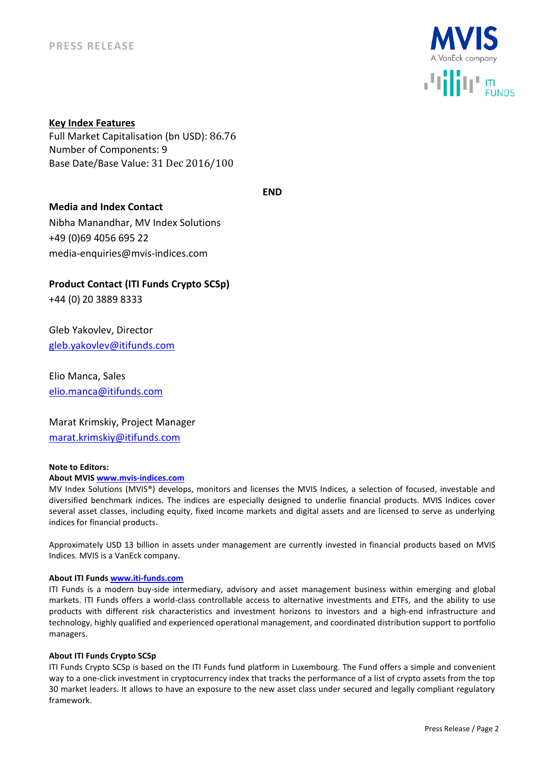

**Key Index Features**  Full Market Capitalisation (bn USD): 86.76

Number of Components: 9 Base Date/Base Value: 31 Dec 2016/100

**END**

## **Media and Index Contact**

Nibha Manandhar, MV Index Solutions +49 (0)69 4056 695 22 media-enquiries@mvis-indices.com

**Product Contact (ITI Funds Crypto SCSp)**

+44 (0) 20 3889 8333

Gleb Yakovlev, Director [gleb.yakovlev@itifunds.com](mailto:gleb.yakovlev@itifunds.com)

Elio Manca, Sales [elio.manca@itifunds.com](mailto:elio.manca@itifunds.com)

Marat Krimskiy, Project Manager [marat.krimskiy@itifunds.com](mailto:marat.krimskiy@itifunds.com)

### **Note to Editors:**

### **About MVIS [www.mvis-indices.com](file:///C:/Users/tkettner/AppData/Local/Microsoft/Windows/INetCache/Content.Outlook/D78SKEF7/www.mvis-indices.com)**

MV Index Solutions (MVIS®) develops, monitors and licenses the MVIS Indices, a selection of focused, investable and diversified benchmark indices. The indices are especially designed to underlie financial products. MVIS Indices cover several asset classes, including equity, fixed income markets and digital assets and are licensed to serve as underlying indices for financial products.

Approximately USD 13 billion in assets under management are currently invested in financial products based on MVIS Indices. MVIS is a VanEck company.

### **About ITI Funds [www.iti-funds.com](file:///C:/Users/tkettner/AppData/Local/Microsoft/Windows/INetCache/Content.Outlook/D78SKEF7/www.iti-funds.com)**

ITI Funds is a modern buy-side intermediary, advisory and asset management business within emerging and global markets. ITI Funds offers a world-class controllable access to alternative investments and ETFs, and the ability to use products with different risk characteristics and investment horizons to investors and a high-end infrastructure and technology, highly qualified and experienced operational management, and coordinated distribution support to portfolio managers.

### **About ITI Funds Crypto SCSp**

ITI Funds Crypto SCSp is based on the ITI Funds fund platform in Luxembourg. The Fund offers a simple and convenient way to a one-click investment in cryptocurrency index that tracks the performance of a list of crypto assets from the top 30 market leaders. It allows to have an exposure to the new asset class under secured and legally compliant regulatory framework.